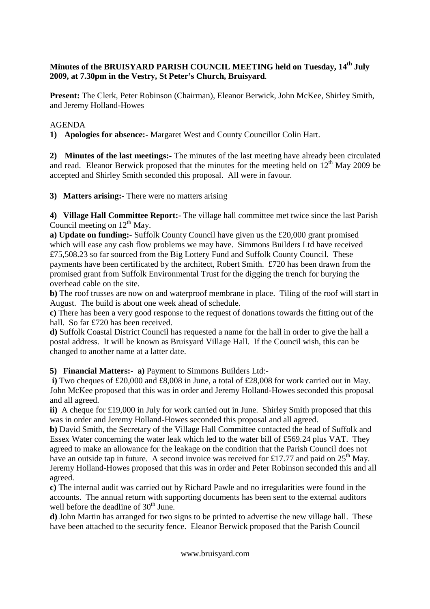## **Minutes of the BRUISYARD PARISH COUNCIL MEETING held on Tuesday, 14th July 2009, at 7.30pm in the Vestry, St Peter's Church, Bruisyard**.

**Present:** The Clerk, Peter Robinson (Chairman), Eleanor Berwick, John McKee, Shirley Smith, and Jeremy Holland-Howes

## AGENDA

**1) Apologies for absence:-** Margaret West and County Councillor Colin Hart.

**2) Minutes of the last meetings:-** The minutes of the last meeting have already been circulated and read. Eleanor Berwick proposed that the minutes for the meeting held on  $12<sup>th</sup>$  May 2009 be accepted and Shirley Smith seconded this proposal. All were in favour.

**3) Matters arising:-** There were no matters arising

**4) Village Hall Committee Report:-** The village hall committee met twice since the last Parish Council meeting on  $12<sup>th</sup>$  May.

**a) Update on funding:**- Suffolk County Council have given us the £20,000 grant promised which will ease any cash flow problems we may have. Simmons Builders Ltd have received £75,508.23 so far sourced from the Big Lottery Fund and Suffolk County Council. These payments have been certificated by the architect, Robert Smith. £720 has been drawn from the promised grant from Suffolk Environmental Trust for the digging the trench for burying the overhead cable on the site.

**b)** The roof trusses are now on and waterproof membrane in place. Tiling of the roof will start in August. The build is about one week ahead of schedule.

**c)** There has been a very good response to the request of donations towards the fitting out of the hall. So far £720 has been received.

**d)** Suffolk Coastal District Council has requested a name for the hall in order to give the hall a postal address. It will be known as Bruisyard Village Hall. If the Council wish, this can be changed to another name at a latter date.

**5) Financial Matters:- a)** Payment to Simmons Builders Ltd:-

 **i)** Two cheques of £20,000 and £8,008 in June, a total of £28,008 for work carried out in May. John McKee proposed that this was in order and Jeremy Holland-Howes seconded this proposal and all agreed.

**ii)** A cheque for £19,000 in July for work carried out in June. Shirley Smith proposed that this was in order and Jeremy Holland-Howes seconded this proposal and all agreed.

**b)** David Smith, the Secretary of the Village Hall Committee contacted the head of Suffolk and Essex Water concerning the water leak which led to the water bill of £569.24 plus VAT. They agreed to make an allowance for the leakage on the condition that the Parish Council does not have an outside tap in future. A second invoice was received for £17.77 and paid on  $25<sup>th</sup>$  May. Jeremy Holland-Howes proposed that this was in order and Peter Robinson seconded this and all agreed.

**c)** The internal audit was carried out by Richard Pawle and no irregularities were found in the accounts. The annual return with supporting documents has been sent to the external auditors well before the deadline of  $30<sup>th</sup>$  June.

**d)** John Martin has arranged for two signs to be printed to advertise the new village hall. These have been attached to the security fence. Eleanor Berwick proposed that the Parish Council